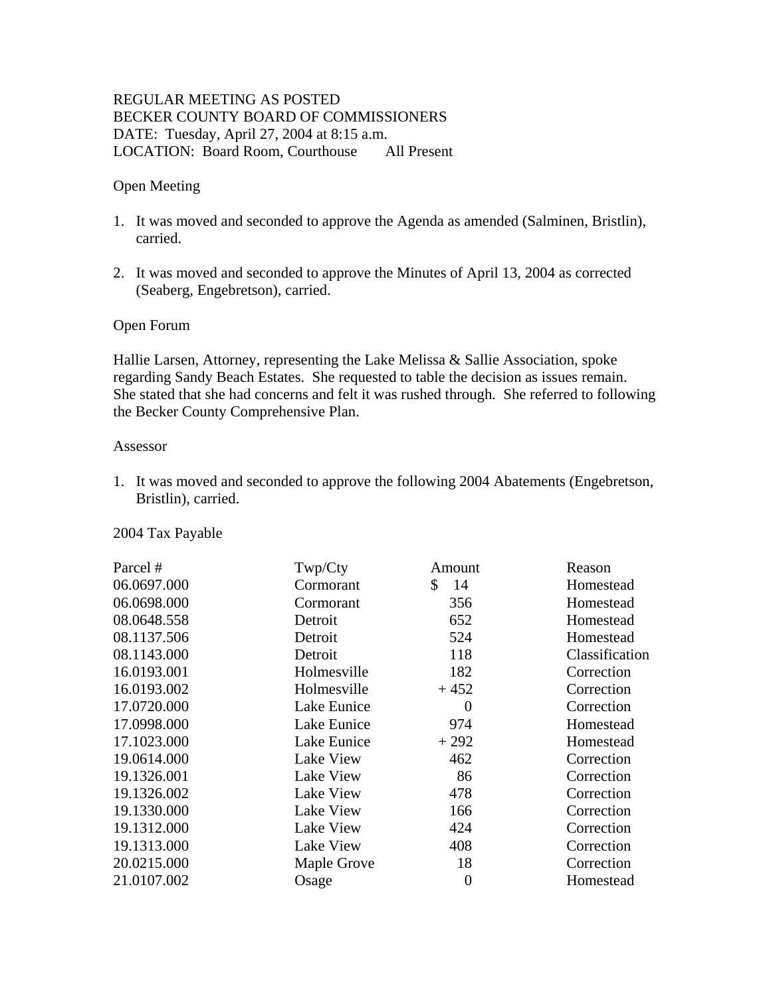# REGULAR MEETING AS POSTED BECKER COUNTY BOARD OF COMMISSIONERS DATE: Tuesday, April 27, 2004 at 8:15 a.m. LOCATION: Board Room, Courthouse All Present

### Open Meeting

- 1. It was moved and seconded to approve the Agenda as amended (Salminen, Bristlin), carried.
- 2. It was moved and seconded to approve the Minutes of April 13, 2004 as corrected (Seaberg, Engebretson), carried.

### Open Forum

Hallie Larsen, Attorney, representing the Lake Melissa & Sallie Association, spoke regarding Sandy Beach Estates. She requested to table the decision as issues remain. She stated that she had concerns and felt it was rushed through. She referred to following the Becker County Comprehensive Plan.

#### Assessor

1. It was moved and seconded to approve the following 2004 Abatements (Engebretson, Bristlin), carried.

#### 2004 Tax Payable

| Parcel #    | Twp/Cty     | Amount   | Reason         |
|-------------|-------------|----------|----------------|
| 06.0697.000 | Cormorant   | 14<br>\$ | Homestead      |
| 06.0698.000 | Cormorant   | 356      | Homestead      |
| 08.0648.558 | Detroit     | 652      | Homestead      |
| 08.1137.506 | Detroit     | 524      | Homestead      |
| 08.1143.000 | Detroit     | 118      | Classification |
| 16.0193.001 | Holmesville | 182      | Correction     |
| 16.0193.002 | Holmesville | $+452$   | Correction     |
| 17.0720.000 | Lake Eunice | $\Omega$ | Correction     |
| 17.0998.000 | Lake Eunice | 974      | Homestead      |
| 17.1023.000 | Lake Eunice | $+292$   | Homestead      |
| 19.0614.000 | Lake View   | 462      | Correction     |
| 19.1326.001 | Lake View   | 86       | Correction     |
| 19.1326.002 | Lake View   | 478      | Correction     |
| 19.1330.000 | Lake View   | 166      | Correction     |
| 19.1312.000 | Lake View   | 424      | Correction     |
| 19.1313.000 | Lake View   | 408      | Correction     |
| 20.0215.000 | Maple Grove | 18       | Correction     |
| 21.0107.002 | Osage       | 0        | Homestead      |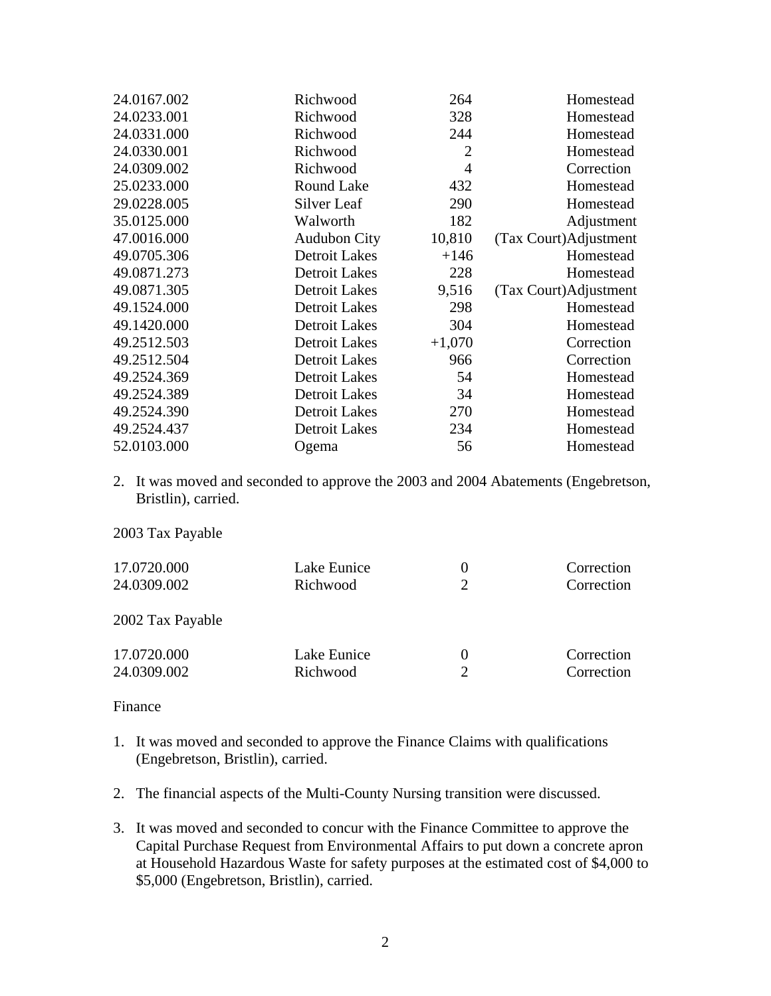| 24.0167.002 | Richwood             | 264            | Homestead             |
|-------------|----------------------|----------------|-----------------------|
| 24.0233.001 | Richwood             | 328            | Homestead             |
| 24.0331.000 | Richwood             | 244            | Homestead             |
| 24.0330.001 | Richwood             | $\overline{2}$ | Homestead             |
| 24.0309.002 | Richwood             | $\overline{4}$ | Correction            |
| 25.0233.000 | Round Lake           | 432            | Homestead             |
| 29.0228.005 | Silver Leaf          | 290            | Homestead             |
| 35.0125.000 | Walworth             | 182            | Adjustment            |
| 47.0016.000 | <b>Audubon City</b>  | 10,810         | (Tax Court)Adjustment |
| 49.0705.306 | <b>Detroit Lakes</b> | $+146$         | Homestead             |
| 49.0871.273 | <b>Detroit Lakes</b> | 228            | Homestead             |
| 49.0871.305 | <b>Detroit Lakes</b> | 9,516          | (Tax Court)Adjustment |
| 49.1524.000 | <b>Detroit Lakes</b> | 298            | Homestead             |
| 49.1420.000 | <b>Detroit Lakes</b> | 304            | Homestead             |
| 49.2512.503 | <b>Detroit Lakes</b> | $+1,070$       | Correction            |
| 49.2512.504 | Detroit Lakes        | 966            | Correction            |
| 49.2524.369 | <b>Detroit Lakes</b> | 54             | Homestead             |
| 49.2524.389 | <b>Detroit Lakes</b> | 34             | Homestead             |
| 49.2524.390 | <b>Detroit Lakes</b> | 270            | Homestead             |
| 49.2524.437 | <b>Detroit Lakes</b> | 234            | Homestead             |
| 52.0103.000 | Ogema                | 56             | Homestead             |
|             |                      |                |                       |

2. It was moved and seconded to approve the 2003 and 2004 Abatements (Engebretson, Bristlin), carried.

2003 Tax Payable

| 17.0720.000      | Lake Eunice |          | Correction |
|------------------|-------------|----------|------------|
| 24.0309.002      | Richwood    | 2        | Correction |
|                  |             |          |            |
| 2002 Tax Payable |             |          |            |
|                  |             |          |            |
| 17.0720.000      | Lake Eunice | $\theta$ | Correction |
| 24.0309.002      | Richwood    |          | Correction |

Finance

- 1. It was moved and seconded to approve the Finance Claims with qualifications (Engebretson, Bristlin), carried.
- 2. The financial aspects of the Multi-County Nursing transition were discussed.
- 3. It was moved and seconded to concur with the Finance Committee to approve the Capital Purchase Request from Environmental Affairs to put down a concrete apron at Household Hazardous Waste for safety purposes at the estimated cost of \$4,000 to \$5,000 (Engebretson, Bristlin), carried.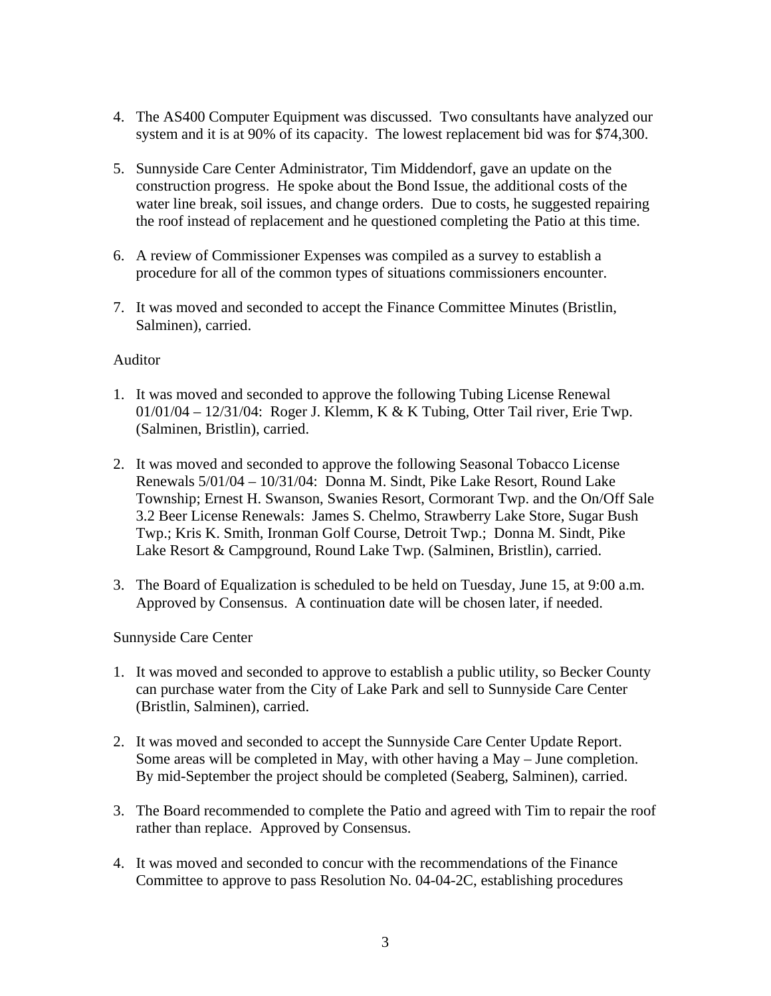- 4. The AS400 Computer Equipment was discussed. Two consultants have analyzed our system and it is at 90% of its capacity. The lowest replacement bid was for \$74,300.
- 5. Sunnyside Care Center Administrator, Tim Middendorf, gave an update on the construction progress. He spoke about the Bond Issue, the additional costs of the water line break, soil issues, and change orders. Due to costs, he suggested repairing the roof instead of replacement and he questioned completing the Patio at this time.
- 6. A review of Commissioner Expenses was compiled as a survey to establish a procedure for all of the common types of situations commissioners encounter.
- 7. It was moved and seconded to accept the Finance Committee Minutes (Bristlin, Salminen), carried.

## Auditor

- 1. It was moved and seconded to approve the following Tubing License Renewal 01/01/04 – 12/31/04: Roger J. Klemm, K & K Tubing, Otter Tail river, Erie Twp. (Salminen, Bristlin), carried.
- 2. It was moved and seconded to approve the following Seasonal Tobacco License Renewals 5/01/04 – 10/31/04: Donna M. Sindt, Pike Lake Resort, Round Lake Township; Ernest H. Swanson, Swanies Resort, Cormorant Twp. and the On/Off Sale 3.2 Beer License Renewals: James S. Chelmo, Strawberry Lake Store, Sugar Bush Twp.; Kris K. Smith, Ironman Golf Course, Detroit Twp.; Donna M. Sindt, Pike Lake Resort & Campground, Round Lake Twp. (Salminen, Bristlin), carried.
- 3. The Board of Equalization is scheduled to be held on Tuesday, June 15, at 9:00 a.m. Approved by Consensus. A continuation date will be chosen later, if needed.

## Sunnyside Care Center

- 1. It was moved and seconded to approve to establish a public utility, so Becker County can purchase water from the City of Lake Park and sell to Sunnyside Care Center (Bristlin, Salminen), carried.
- 2. It was moved and seconded to accept the Sunnyside Care Center Update Report. Some areas will be completed in May, with other having a May – June completion. By mid-September the project should be completed (Seaberg, Salminen), carried.
- 3. The Board recommended to complete the Patio and agreed with Tim to repair the roof rather than replace. Approved by Consensus.
- 4. It was moved and seconded to concur with the recommendations of the Finance Committee to approve to pass Resolution No. 04-04-2C, establishing procedures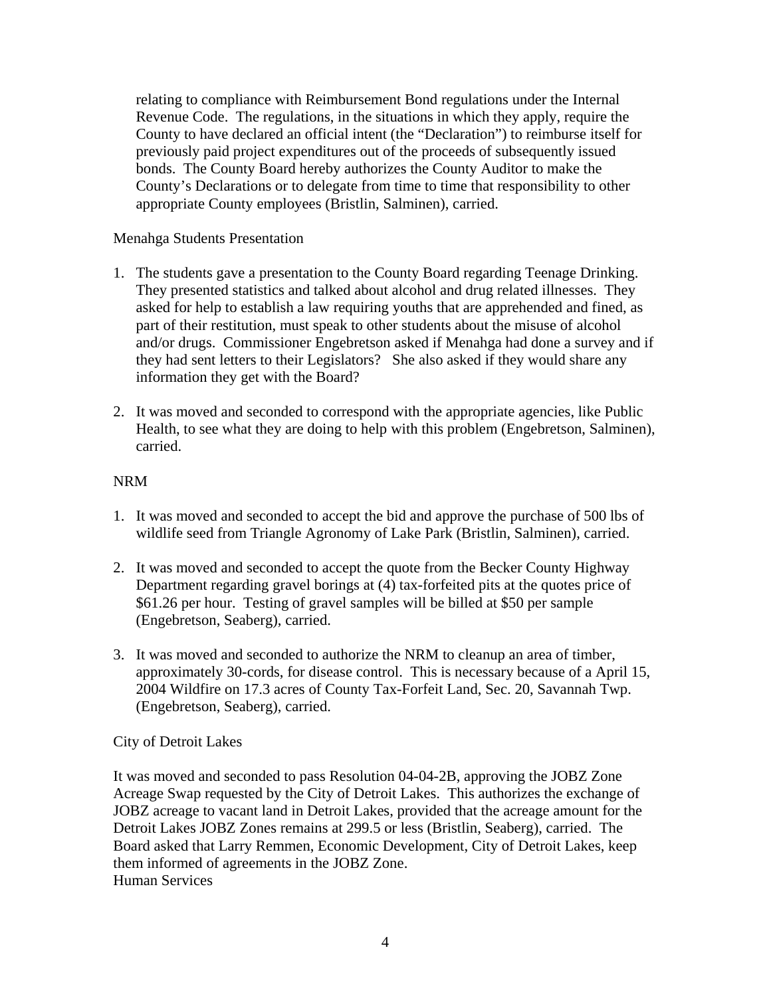relating to compliance with Reimbursement Bond regulations under the Internal Revenue Code. The regulations, in the situations in which they apply, require the County to have declared an official intent (the "Declaration") to reimburse itself for previously paid project expenditures out of the proceeds of subsequently issued bonds. The County Board hereby authorizes the County Auditor to make the County's Declarations or to delegate from time to time that responsibility to other appropriate County employees (Bristlin, Salminen), carried.

## Menahga Students Presentation

- 1. The students gave a presentation to the County Board regarding Teenage Drinking. They presented statistics and talked about alcohol and drug related illnesses. They asked for help to establish a law requiring youths that are apprehended and fined, as part of their restitution, must speak to other students about the misuse of alcohol and/or drugs. Commissioner Engebretson asked if Menahga had done a survey and if they had sent letters to their Legislators? She also asked if they would share any information they get with the Board?
- 2. It was moved and seconded to correspond with the appropriate agencies, like Public Health, to see what they are doing to help with this problem (Engebretson, Salminen), carried.

## NRM

- 1. It was moved and seconded to accept the bid and approve the purchase of 500 lbs of wildlife seed from Triangle Agronomy of Lake Park (Bristlin, Salminen), carried.
- 2. It was moved and seconded to accept the quote from the Becker County Highway Department regarding gravel borings at (4) tax-forfeited pits at the quotes price of \$61.26 per hour. Testing of gravel samples will be billed at \$50 per sample (Engebretson, Seaberg), carried.
- 3. It was moved and seconded to authorize the NRM to cleanup an area of timber, approximately 30-cords, for disease control. This is necessary because of a April 15, 2004 Wildfire on 17.3 acres of County Tax-Forfeit Land, Sec. 20, Savannah Twp. (Engebretson, Seaberg), carried.

# City of Detroit Lakes

It was moved and seconded to pass Resolution 04-04-2B, approving the JOBZ Zone Acreage Swap requested by the City of Detroit Lakes. This authorizes the exchange of JOBZ acreage to vacant land in Detroit Lakes, provided that the acreage amount for the Detroit Lakes JOBZ Zones remains at 299.5 or less (Bristlin, Seaberg), carried. The Board asked that Larry Remmen, Economic Development, City of Detroit Lakes, keep them informed of agreements in the JOBZ Zone. Human Services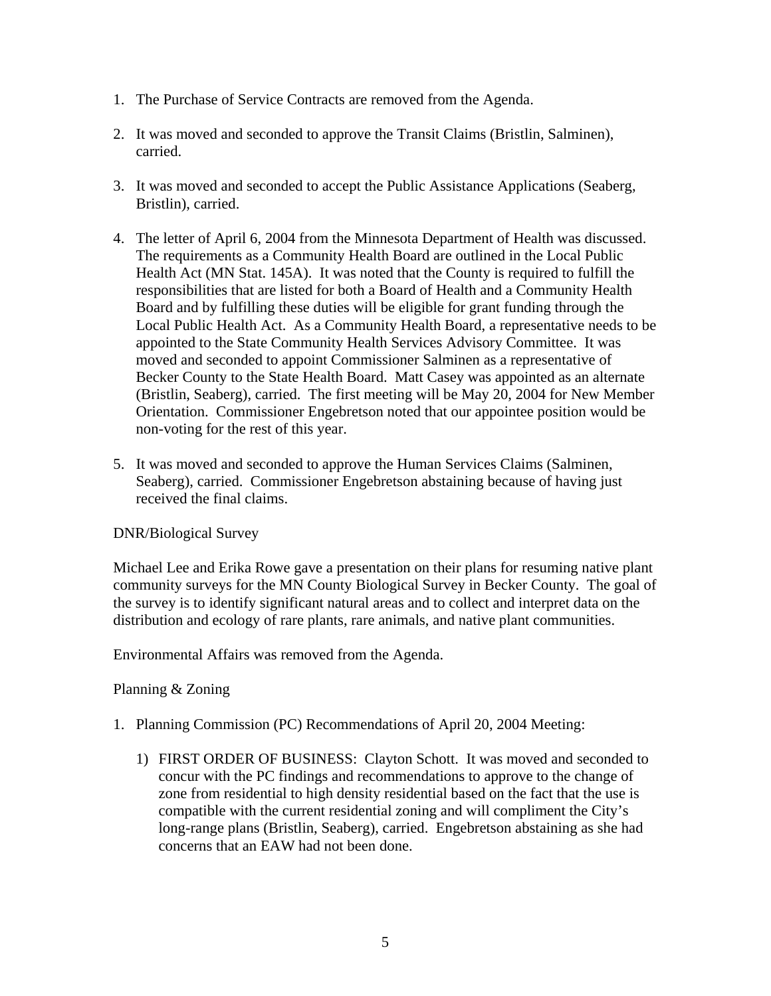- 1. The Purchase of Service Contracts are removed from the Agenda.
- 2. It was moved and seconded to approve the Transit Claims (Bristlin, Salminen), carried.
- 3. It was moved and seconded to accept the Public Assistance Applications (Seaberg, Bristlin), carried.
- 4. The letter of April 6, 2004 from the Minnesota Department of Health was discussed. The requirements as a Community Health Board are outlined in the Local Public Health Act (MN Stat. 145A). It was noted that the County is required to fulfill the responsibilities that are listed for both a Board of Health and a Community Health Board and by fulfilling these duties will be eligible for grant funding through the Local Public Health Act. As a Community Health Board, a representative needs to be appointed to the State Community Health Services Advisory Committee. It was moved and seconded to appoint Commissioner Salminen as a representative of Becker County to the State Health Board. Matt Casey was appointed as an alternate (Bristlin, Seaberg), carried. The first meeting will be May 20, 2004 for New Member Orientation. Commissioner Engebretson noted that our appointee position would be non-voting for the rest of this year.
- 5. It was moved and seconded to approve the Human Services Claims (Salminen, Seaberg), carried. Commissioner Engebretson abstaining because of having just received the final claims.

# DNR/Biological Survey

Michael Lee and Erika Rowe gave a presentation on their plans for resuming native plant community surveys for the MN County Biological Survey in Becker County. The goal of the survey is to identify significant natural areas and to collect and interpret data on the distribution and ecology of rare plants, rare animals, and native plant communities.

Environmental Affairs was removed from the Agenda.

## Planning & Zoning

- 1. Planning Commission (PC) Recommendations of April 20, 2004 Meeting:
	- 1) FIRST ORDER OF BUSINESS: Clayton Schott. It was moved and seconded to concur with the PC findings and recommendations to approve to the change of zone from residential to high density residential based on the fact that the use is compatible with the current residential zoning and will compliment the City's long-range plans (Bristlin, Seaberg), carried. Engebretson abstaining as she had concerns that an EAW had not been done.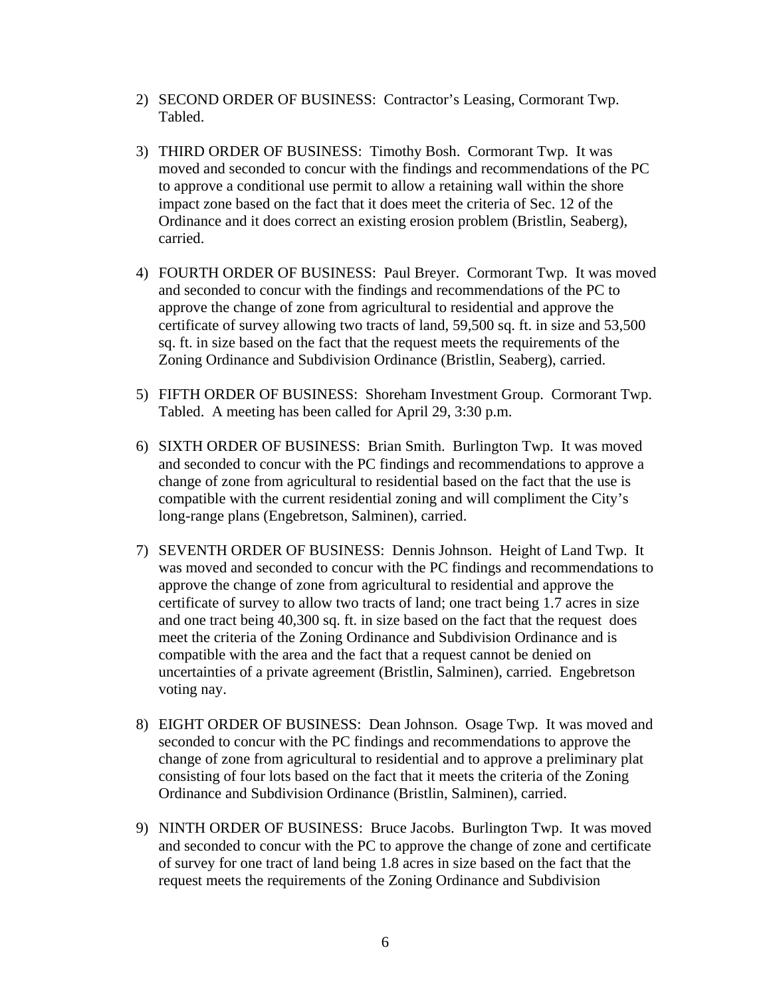- 2) SECOND ORDER OF BUSINESS: Contractor's Leasing, Cormorant Twp. Tabled.
- 3) THIRD ORDER OF BUSINESS: Timothy Bosh. Cormorant Twp. It was moved and seconded to concur with the findings and recommendations of the PC to approve a conditional use permit to allow a retaining wall within the shore impact zone based on the fact that it does meet the criteria of Sec. 12 of the Ordinance and it does correct an existing erosion problem (Bristlin, Seaberg), carried.
- 4) FOURTH ORDER OF BUSINESS: Paul Breyer. Cormorant Twp. It was moved and seconded to concur with the findings and recommendations of the PC to approve the change of zone from agricultural to residential and approve the certificate of survey allowing two tracts of land, 59,500 sq. ft. in size and 53,500 sq. ft. in size based on the fact that the request meets the requirements of the Zoning Ordinance and Subdivision Ordinance (Bristlin, Seaberg), carried.
- 5) FIFTH ORDER OF BUSINESS: Shoreham Investment Group. Cormorant Twp. Tabled. A meeting has been called for April 29, 3:30 p.m.
- 6) SIXTH ORDER OF BUSINESS: Brian Smith. Burlington Twp. It was moved and seconded to concur with the PC findings and recommendations to approve a change of zone from agricultural to residential based on the fact that the use is compatible with the current residential zoning and will compliment the City's long-range plans (Engebretson, Salminen), carried.
- 7) SEVENTH ORDER OF BUSINESS: Dennis Johnson. Height of Land Twp. It was moved and seconded to concur with the PC findings and recommendations to approve the change of zone from agricultural to residential and approve the certificate of survey to allow two tracts of land; one tract being 1.7 acres in size and one tract being 40,300 sq. ft. in size based on the fact that the request does meet the criteria of the Zoning Ordinance and Subdivision Ordinance and is compatible with the area and the fact that a request cannot be denied on uncertainties of a private agreement (Bristlin, Salminen), carried. Engebretson voting nay.
- 8) EIGHT ORDER OF BUSINESS: Dean Johnson. Osage Twp. It was moved and seconded to concur with the PC findings and recommendations to approve the change of zone from agricultural to residential and to approve a preliminary plat consisting of four lots based on the fact that it meets the criteria of the Zoning Ordinance and Subdivision Ordinance (Bristlin, Salminen), carried.
- 9) NINTH ORDER OF BUSINESS: Bruce Jacobs. Burlington Twp. It was moved and seconded to concur with the PC to approve the change of zone and certificate of survey for one tract of land being 1.8 acres in size based on the fact that the request meets the requirements of the Zoning Ordinance and Subdivision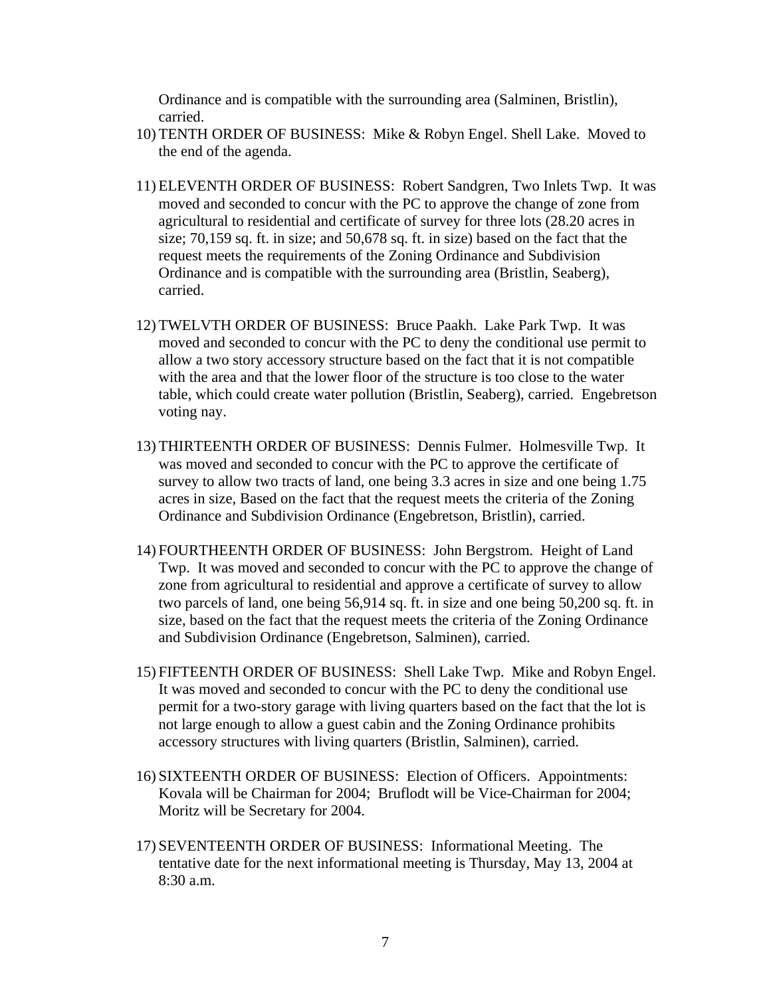Ordinance and is compatible with the surrounding area (Salminen, Bristlin), carried.

- 10) TENTH ORDER OF BUSINESS: Mike & Robyn Engel. Shell Lake. Moved to the end of the agenda.
- 11) ELEVENTH ORDER OF BUSINESS: Robert Sandgren, Two Inlets Twp. It was moved and seconded to concur with the PC to approve the change of zone from agricultural to residential and certificate of survey for three lots (28.20 acres in size; 70,159 sq. ft. in size; and 50,678 sq. ft. in size) based on the fact that the request meets the requirements of the Zoning Ordinance and Subdivision Ordinance and is compatible with the surrounding area (Bristlin, Seaberg), carried.
- 12) TWELVTH ORDER OF BUSINESS: Bruce Paakh. Lake Park Twp. It was moved and seconded to concur with the PC to deny the conditional use permit to allow a two story accessory structure based on the fact that it is not compatible with the area and that the lower floor of the structure is too close to the water table, which could create water pollution (Bristlin, Seaberg), carried. Engebretson voting nay.
- 13) THIRTEENTH ORDER OF BUSINESS: Dennis Fulmer. Holmesville Twp. It was moved and seconded to concur with the PC to approve the certificate of survey to allow two tracts of land, one being 3.3 acres in size and one being 1.75 acres in size, Based on the fact that the request meets the criteria of the Zoning Ordinance and Subdivision Ordinance (Engebretson, Bristlin), carried.
- 14) FOURTHEENTH ORDER OF BUSINESS: John Bergstrom. Height of Land Twp. It was moved and seconded to concur with the PC to approve the change of zone from agricultural to residential and approve a certificate of survey to allow two parcels of land, one being 56,914 sq. ft. in size and one being 50,200 sq. ft. in size, based on the fact that the request meets the criteria of the Zoning Ordinance and Subdivision Ordinance (Engebretson, Salminen), carried.
- 15) FIFTEENTH ORDER OF BUSINESS: Shell Lake Twp. Mike and Robyn Engel. It was moved and seconded to concur with the PC to deny the conditional use permit for a two-story garage with living quarters based on the fact that the lot is not large enough to allow a guest cabin and the Zoning Ordinance prohibits accessory structures with living quarters (Bristlin, Salminen), carried.
- 16) SIXTEENTH ORDER OF BUSINESS: Election of Officers. Appointments: Kovala will be Chairman for 2004; Bruflodt will be Vice-Chairman for 2004; Moritz will be Secretary for 2004.
- 17) SEVENTEENTH ORDER OF BUSINESS: Informational Meeting. The tentative date for the next informational meeting is Thursday, May 13, 2004 at 8:30 a.m.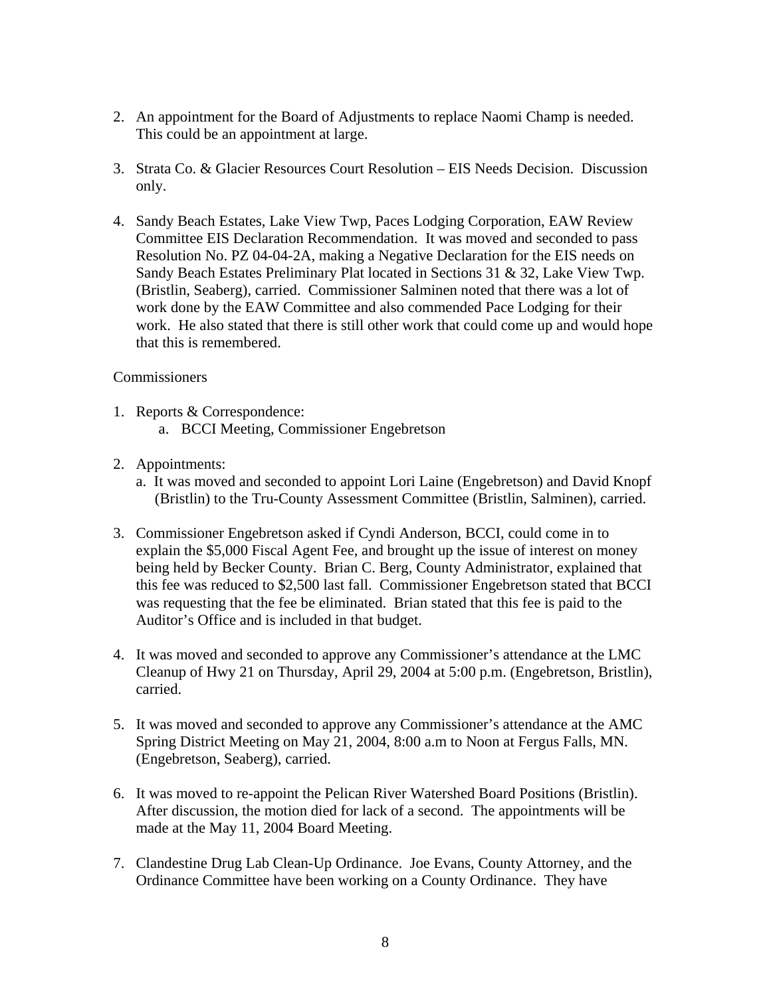- 2. An appointment for the Board of Adjustments to replace Naomi Champ is needed. This could be an appointment at large.
- 3. Strata Co. & Glacier Resources Court Resolution EIS Needs Decision. Discussion only.
- 4. Sandy Beach Estates, Lake View Twp, Paces Lodging Corporation, EAW Review Committee EIS Declaration Recommendation. It was moved and seconded to pass Resolution No. PZ 04-04-2A, making a Negative Declaration for the EIS needs on Sandy Beach Estates Preliminary Plat located in Sections 31 & 32, Lake View Twp. (Bristlin, Seaberg), carried. Commissioner Salminen noted that there was a lot of work done by the EAW Committee and also commended Pace Lodging for their work. He also stated that there is still other work that could come up and would hope that this is remembered.

## **Commissioners**

- 1. Reports & Correspondence: a. BCCI Meeting, Commissioner Engebretson
- 2. Appointments:
	- a. It was moved and seconded to appoint Lori Laine (Engebretson) and David Knopf (Bristlin) to the Tru-County Assessment Committee (Bristlin, Salminen), carried.
- 3. Commissioner Engebretson asked if Cyndi Anderson, BCCI, could come in to explain the \$5,000 Fiscal Agent Fee, and brought up the issue of interest on money being held by Becker County. Brian C. Berg, County Administrator, explained that this fee was reduced to \$2,500 last fall. Commissioner Engebretson stated that BCCI was requesting that the fee be eliminated. Brian stated that this fee is paid to the Auditor's Office and is included in that budget.
- 4. It was moved and seconded to approve any Commissioner's attendance at the LMC Cleanup of Hwy 21 on Thursday, April 29, 2004 at 5:00 p.m. (Engebretson, Bristlin), carried.
- 5. It was moved and seconded to approve any Commissioner's attendance at the AMC Spring District Meeting on May 21, 2004, 8:00 a.m to Noon at Fergus Falls, MN. (Engebretson, Seaberg), carried.
- 6. It was moved to re-appoint the Pelican River Watershed Board Positions (Bristlin). After discussion, the motion died for lack of a second. The appointments will be made at the May 11, 2004 Board Meeting.
- 7. Clandestine Drug Lab Clean-Up Ordinance. Joe Evans, County Attorney, and the Ordinance Committee have been working on a County Ordinance. They have